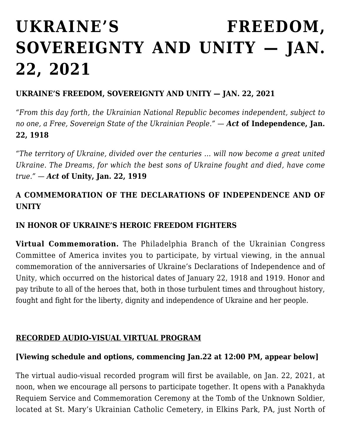# **[UKRAINE'S FREEDOM,](https://ukrarcheparchy.us/archeparchy-news/ukraine-s-freedom-sovereignty-and-unity-jan-22-2021) [SOVEREIGNTY AND UNITY — JAN.](https://ukrarcheparchy.us/archeparchy-news/ukraine-s-freedom-sovereignty-and-unity-jan-22-2021) [22, 2021](https://ukrarcheparchy.us/archeparchy-news/ukraine-s-freedom-sovereignty-and-unity-jan-22-2021)**

#### **UKRAINE'S FREEDOM, SOVEREIGNTY AND UNITY — JAN. 22, 2021**

*"From this day forth, the Ukrainian National Republic becomes independent, subject to no one, a Free, Sovereign State of the Ukrainian People." — Act* **of Independence, Jan. 22, 1918**

*"The territory of Ukraine, divided over the centuries … will now become a great united Ukraine. The Dreams, for which the best sons of Ukraine fought and died, have come true." — Act* **of Unity, Jan. 22, 1919**

# **A COMMEMORATION OF THE DECLARATIONS OF INDEPENDENCE AND OF UNITY**

### **IN HONOR OF UKRAINE'S HEROIC FREEDOM FIGHTERS**

**Virtual Commemoration.** The Philadelphia Branch of the Ukrainian Congress Committee of America invites you to participate, by virtual viewing, in the annual commemoration of the anniversaries of Ukraine's Declarations of Independence and of Unity, which occurred on the historical dates of January 22, 1918 and 1919. Honor and pay tribute to all of the heroes that, both in those turbulent times and throughout history, fought and fight for the liberty, dignity and independence of Ukraine and her people.

#### **RECORDED AUDIO-VISUAL VIRTUAL PROGRAM**

#### **[Viewing schedule and options, commencing Jan.22 at 12:00 PM, appear below]**

The virtual audio-visual recorded program will first be available, on Jan. 22, 2021, at noon, when we encourage all persons to participate together. It opens with a Panakhyda Requiem Service and Commemoration Ceremony at the Tomb of the Unknown Soldier, located at St. Mary's Ukrainian Catholic Cemetery, in Elkins Park, PA, just North of